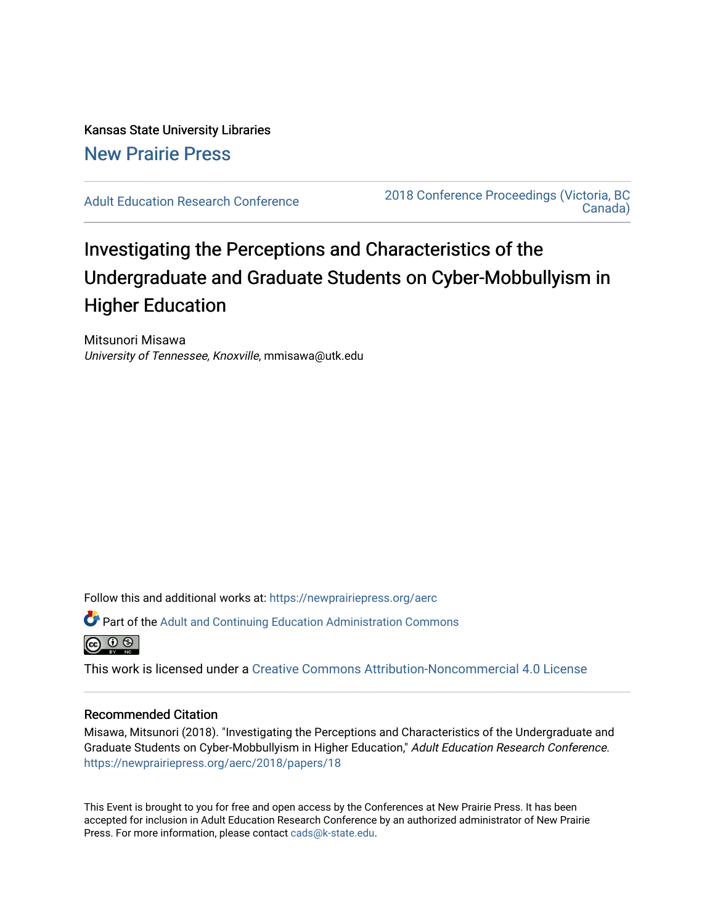Kansas State University Libraries [New Prairie Press](https://newprairiepress.org/) 

[Adult Education Research Conference](https://newprairiepress.org/aerc) [2018 Conference Proceedings \(Victoria, BC](https://newprairiepress.org/aerc/2018)  [Canada\)](https://newprairiepress.org/aerc/2018) 

# Investigating the Perceptions and Characteristics of the Undergraduate and Graduate Students on Cyber-Mobbullyism in Higher Education

Mitsunori Misawa University of Tennessee, Knoxville, mmisawa@utk.edu

Follow this and additional works at: [https://newprairiepress.org/aerc](https://newprairiepress.org/aerc?utm_source=newprairiepress.org%2Faerc%2F2018%2Fpapers%2F18&utm_medium=PDF&utm_campaign=PDFCoverPages)

Part of the [Adult and Continuing Education Administration Commons](http://network.bepress.com/hgg/discipline/789?utm_source=newprairiepress.org%2Faerc%2F2018%2Fpapers%2F18&utm_medium=PDF&utm_campaign=PDFCoverPages)



This work is licensed under a [Creative Commons Attribution-Noncommercial 4.0 License](https://creativecommons.org/licenses/by-nc/4.0/)

### Recommended Citation

Misawa, Mitsunori (2018). "Investigating the Perceptions and Characteristics of the Undergraduate and Graduate Students on Cyber-Mobbullyism in Higher Education," Adult Education Research Conference. <https://newprairiepress.org/aerc/2018/papers/18>

This Event is brought to you for free and open access by the Conferences at New Prairie Press. It has been accepted for inclusion in Adult Education Research Conference by an authorized administrator of New Prairie Press. For more information, please contact [cads@k-state.edu.](mailto:cads@k-state.edu)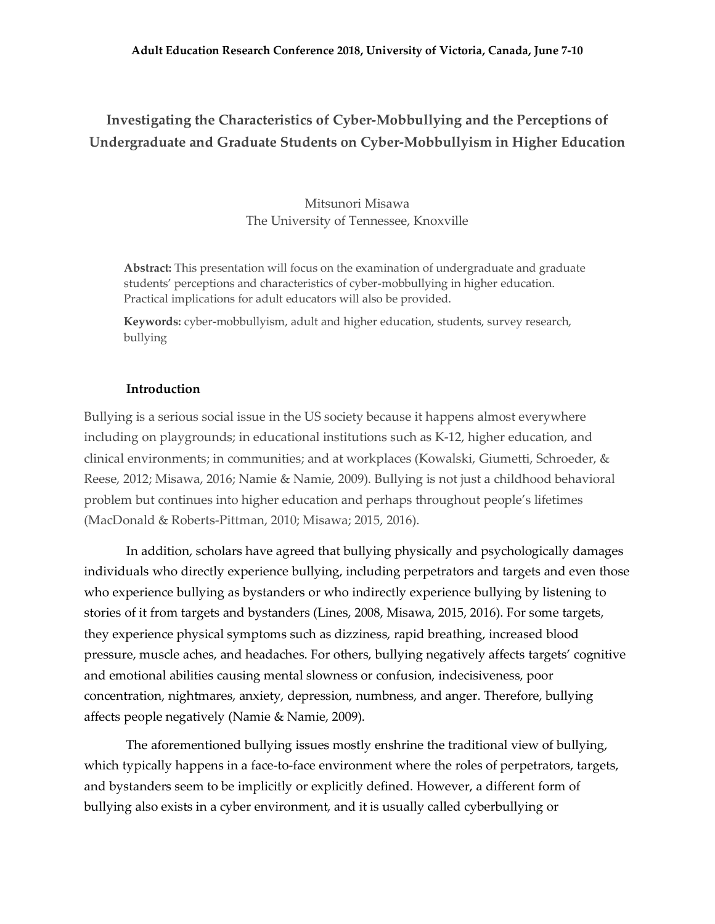# **Investigating the Characteristics of Cyber-Mobbullying and the Perceptions of Undergraduate and Graduate Students on Cyber-Mobbullyism in Higher Education**

Mitsunori Misawa The University of Tennessee, Knoxville

**Abstract:** This presentation will focus on the examination of undergraduate and graduate students' perceptions and characteristics of cyber-mobbullying in higher education. Practical implications for adult educators will also be provided.

**Keywords:** cyber-mobbullyism, adult and higher education, students, survey research, bullying

# **Introduction**

Bullying is a serious social issue in the US society because it happens almost everywhere including on playgrounds; in educational institutions such as K-12, higher education, and clinical environments; in communities; and at workplaces (Kowalski, Giumetti, Schroeder, & Reese, 2012; Misawa, 2016; Namie & Namie, 2009). Bullying is not just a childhood behavioral problem but continues into higher education and perhaps throughout people's lifetimes (MacDonald & Roberts-Pittman, 2010; Misawa; 2015, 2016).

In addition, scholars have agreed that bullying physically and psychologically damages individuals who directly experience bullying, including perpetrators and targets and even those who experience bullying as bystanders or who indirectly experience bullying by listening to stories of it from targets and bystanders (Lines, 2008, Misawa, 2015, 2016). For some targets, they experience physical symptoms such as dizziness, rapid breathing, increased blood pressure, muscle aches, and headaches. For others, bullying negatively affects targets' cognitive and emotional abilities causing mental slowness or confusion, indecisiveness, poor concentration, nightmares, anxiety, depression, numbness, and anger. Therefore, bullying affects people negatively (Namie & Namie, 2009).

The aforementioned bullying issues mostly enshrine the traditional view of bullying, which typically happens in a face-to-face environment where the roles of perpetrators, targets, and bystanders seem to be implicitly or explicitly defined. However, a different form of bullying also exists in a cyber environment, and it is usually called cyberbullying or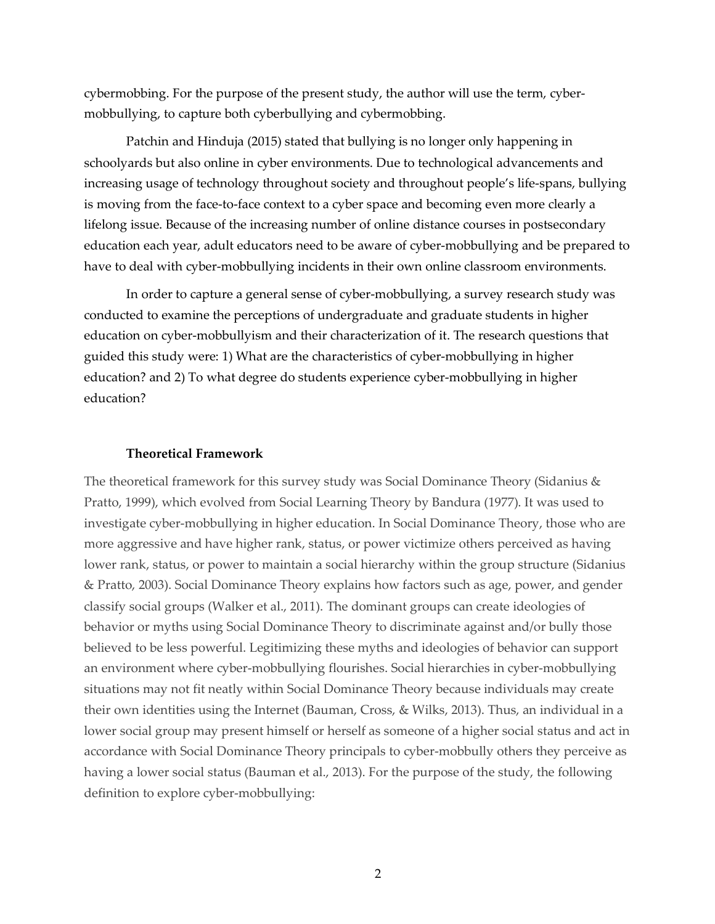cybermobbing. For the purpose of the present study, the author will use the term, cybermobbullying, to capture both cyberbullying and cybermobbing.

Patchin and Hinduja (2015) stated that bullying is no longer only happening in schoolyards but also online in cyber environments. Due to technological advancements and increasing usage of technology throughout society and throughout people's life-spans, bullying is moving from the face-to-face context to a cyber space and becoming even more clearly a lifelong issue. Because of the increasing number of online distance courses in postsecondary education each year, adult educators need to be aware of cyber-mobbullying and be prepared to have to deal with cyber-mobbullying incidents in their own online classroom environments.

In order to capture a general sense of cyber-mobbullying, a survey research study was conducted to examine the perceptions of undergraduate and graduate students in higher education on cyber-mobbullyism and their characterization of it. The research questions that guided this study were: 1) What are the characteristics of cyber-mobbullying in higher education? and 2) To what degree do students experience cyber-mobbullying in higher education?

#### **Theoretical Framework**

The theoretical framework for this survey study was Social Dominance Theory (Sidanius & Pratto, 1999), which evolved from Social Learning Theory by Bandura (1977). It was used to investigate cyber-mobbullying in higher education. In Social Dominance Theory, those who are more aggressive and have higher rank, status, or power victimize others perceived as having lower rank, status, or power to maintain a social hierarchy within the group structure (Sidanius & Pratto, 2003). Social Dominance Theory explains how factors such as age, power, and gender classify social groups (Walker et al., 2011). The dominant groups can create ideologies of behavior or myths using Social Dominance Theory to discriminate against and/or bully those believed to be less powerful. Legitimizing these myths and ideologies of behavior can support an environment where cyber-mobbullying flourishes. Social hierarchies in cyber-mobbullying situations may not fit neatly within Social Dominance Theory because individuals may create their own identities using the Internet (Bauman, Cross, & Wilks, 2013). Thus, an individual in a lower social group may present himself or herself as someone of a higher social status and act in accordance with Social Dominance Theory principals to cyber-mobbully others they perceive as having a lower social status (Bauman et al., 2013). For the purpose of the study, the following definition to explore cyber-mobbullying: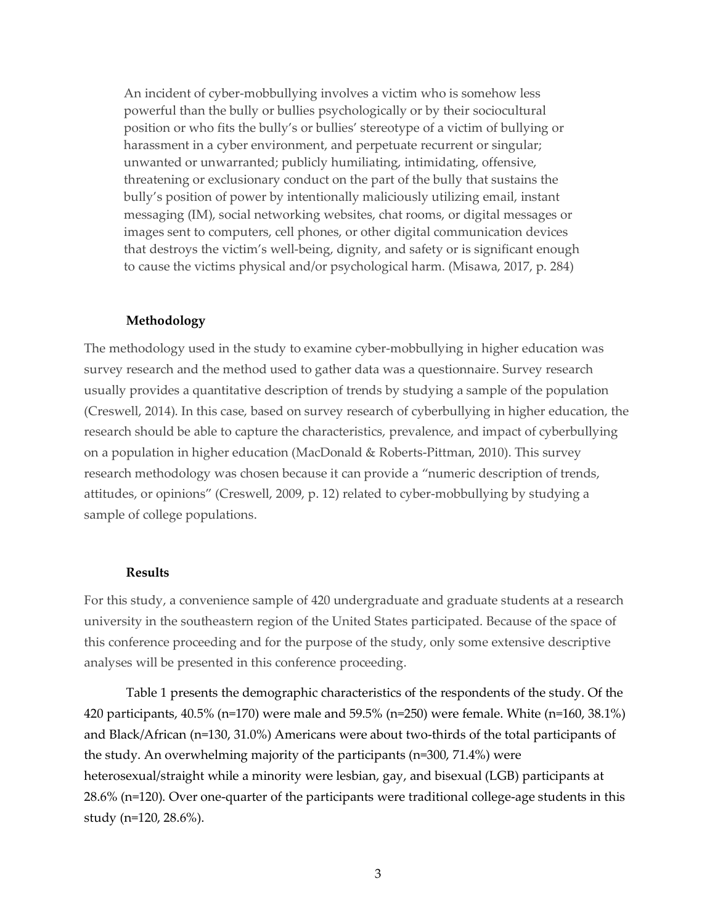An incident of cyber-mobbullying involves a victim who is somehow less powerful than the bully or bullies psychologically or by their sociocultural position or who fits the bully's or bullies' stereotype of a victim of bullying or harassment in a cyber environment, and perpetuate recurrent or singular; unwanted or unwarranted; publicly humiliating, intimidating, offensive, threatening or exclusionary conduct on the part of the bully that sustains the bully's position of power by intentionally maliciously utilizing email, instant messaging (IM), social networking websites, chat rooms, or digital messages or images sent to computers, cell phones, or other digital communication devices that destroys the victim's well-being, dignity, and safety or is significant enough to cause the victims physical and/or psychological harm. (Misawa, 2017, p. 284)

#### **Methodology**

The methodology used in the study to examine cyber-mobbullying in higher education was survey research and the method used to gather data was a questionnaire. Survey research usually provides a quantitative description of trends by studying a sample of the population (Creswell, 2014). In this case, based on survey research of cyberbullying in higher education, the research should be able to capture the characteristics, prevalence, and impact of cyberbullying on a population in higher education (MacDonald & Roberts-Pittman, 2010). This survey research methodology was chosen because it can provide a "numeric description of trends, attitudes, or opinions" (Creswell, 2009, p. 12) related to cyber-mobbullying by studying a sample of college populations.

#### **Results**

For this study, a convenience sample of 420 undergraduate and graduate students at a research university in the southeastern region of the United States participated. Because of the space of this conference proceeding and for the purpose of the study, only some extensive descriptive analyses will be presented in this conference proceeding.

Table 1 presents the demographic characteristics of the respondents of the study. Of the 420 participants, 40.5% (n=170) were male and 59.5% (n=250) were female. White (n=160, 38.1%) and Black/African (n=130, 31.0%) Americans were about two-thirds of the total participants of the study. An overwhelming majority of the participants (n=300, 71.4%) were heterosexual/straight while a minority were lesbian, gay, and bisexual (LGB) participants at 28.6% (n=120). Over one-quarter of the participants were traditional college-age students in this study (n=120, 28.6%).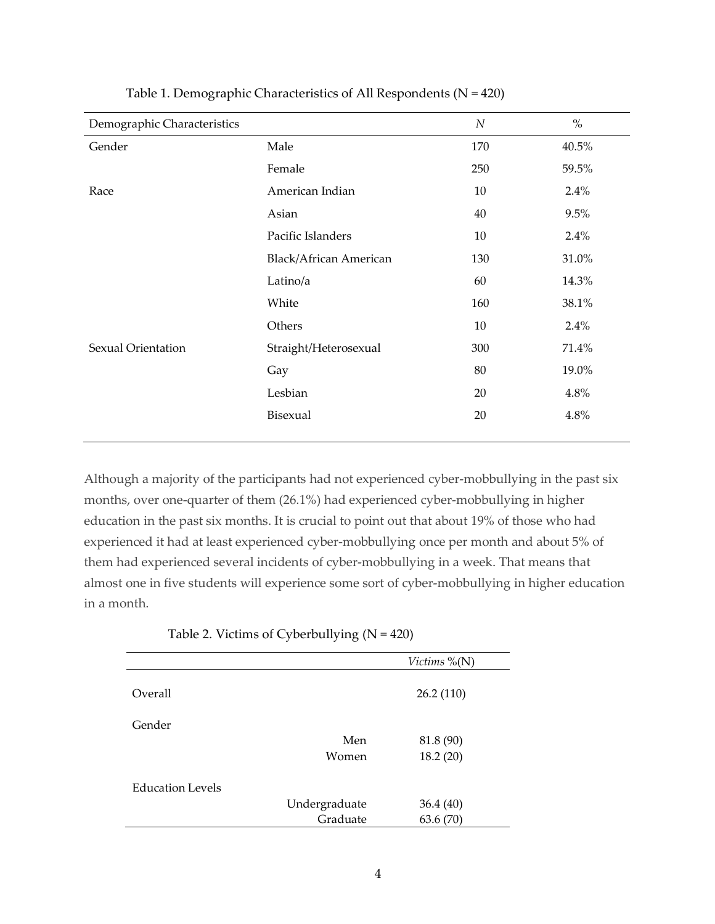| Demographic Characteristics |                               | $\boldsymbol{N}$ | $\%$  |
|-----------------------------|-------------------------------|------------------|-------|
| Gender                      | Male                          | 170              | 40.5% |
|                             | Female                        | 250              | 59.5% |
| Race                        | American Indian               | 10               | 2.4%  |
|                             | Asian                         | 40               | 9.5%  |
|                             | Pacific Islanders             | 10               | 2.4%  |
|                             | <b>Black/African American</b> | 130              | 31.0% |
|                             | Latino/a                      | 60               | 14.3% |
|                             | White                         | 160              | 38.1% |
|                             | Others                        | 10               | 2.4%  |
| Sexual Orientation          | Straight/Heterosexual         | 300              | 71.4% |
|                             | Gay                           | 80               | 19.0% |
|                             | Lesbian                       | 20               | 4.8%  |
|                             | Bisexual                      | 20               | 4.8%  |
|                             |                               |                  |       |

Table 1. Demographic Characteristics of All Respondents (N = 420)

Although a majority of the participants had not experienced cyber-mobbullying in the past six months, over one-quarter of them (26.1%) had experienced cyber-mobbullying in higher education in the past six months. It is crucial to point out that about 19% of those who had experienced it had at least experienced cyber-mobbullying once per month and about 5% of them had experienced several incidents of cyber-mobbullying in a week. That means that almost one in five students will experience some sort of cyber-mobbullying in higher education in a month.

| Table 2. Victims of Cyberbullying $(N = 420)$ |  |  |
|-----------------------------------------------|--|--|
|-----------------------------------------------|--|--|

|                         |               | Victims $%(N)$ |
|-------------------------|---------------|----------------|
| Overall                 |               | 26.2(110)      |
| Gender                  |               |                |
|                         | Men           | 81.8 (90)      |
|                         | Women         | 18.2(20)       |
| <b>Education Levels</b> |               |                |
|                         | Undergraduate | 36.4 (40)      |
|                         | Graduate      | 63.6(70)       |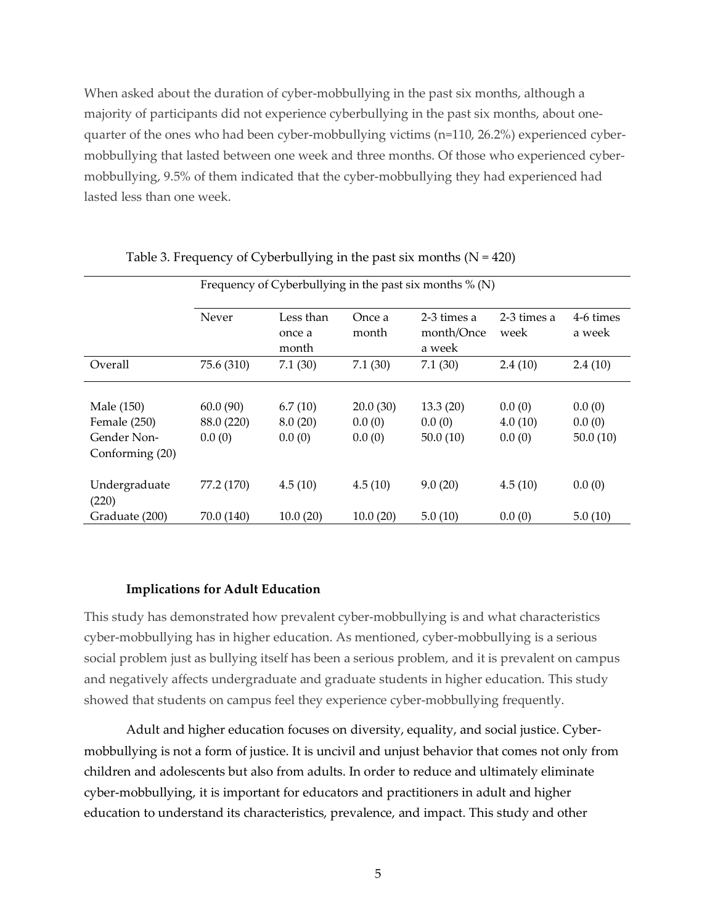When asked about the duration of cyber-mobbullying in the past six months, although a majority of participants did not experience cyberbullying in the past six months, about onequarter of the ones who had been cyber-mobbullying victims (n=110, 26.2%) experienced cybermobbullying that lasted between one week and three months. Of those who experienced cybermobbullying, 9.5% of them indicated that the cyber-mobbullying they had experienced had lasted less than one week.

|                                                              | Frequency of Cyberbullying in the past six months $\%$ (N) |                              |                              |                                     |                             |                              |  |  |
|--------------------------------------------------------------|------------------------------------------------------------|------------------------------|------------------------------|-------------------------------------|-----------------------------|------------------------------|--|--|
|                                                              | Never                                                      | Less than<br>once a<br>month | Once a<br>month              | 2-3 times a<br>month/Once<br>a week | 2-3 times a<br>week         | 4-6 times<br>a week          |  |  |
| Overall                                                      | 75.6 (310)                                                 | 7.1(30)                      | 7.1(30)                      | 7.1(30)                             | 2.4(10)                     | 2.4(10)                      |  |  |
| Male (150)<br>Female (250)<br>Gender Non-<br>Conforming (20) | 60.0(90)<br>88.0 (220)<br>0.0(0)                           | 6.7(10)<br>8.0(20)<br>0.0(0) | 20.0(30)<br>0.0(0)<br>0.0(0) | 13.3(20)<br>0.0(0)<br>50.0(10)      | 0.0(0)<br>4.0(10)<br>0.0(0) | 0.0(0)<br>0.0(0)<br>50.0(10) |  |  |
| Undergraduate<br>(220)<br>Graduate (200)                     | 77.2 (170)<br>70.0 (140)                                   | 4.5(10)<br>10.0(20)          | 4.5(10)<br>10.0(20)          | 9.0(20)<br>5.0(10)                  | 4.5(10)<br>0.0(0)           | 0.0(0)<br>5.0(10)            |  |  |

#### Table 3. Frequency of Cyberbullying in the past six months  $(N = 420)$

#### **Implications for Adult Education**

This study has demonstrated how prevalent cyber-mobbullying is and what characteristics cyber-mobbullying has in higher education. As mentioned, cyber-mobbullying is a serious social problem just as bullying itself has been a serious problem, and it is prevalent on campus and negatively affects undergraduate and graduate students in higher education. This study showed that students on campus feel they experience cyber-mobbullying frequently.

Adult and higher education focuses on diversity, equality, and social justice. Cybermobbullying is not a form of justice. It is uncivil and unjust behavior that comes not only from children and adolescents but also from adults. In order to reduce and ultimately eliminate cyber-mobbullying, it is important for educators and practitioners in adult and higher education to understand its characteristics, prevalence, and impact. This study and other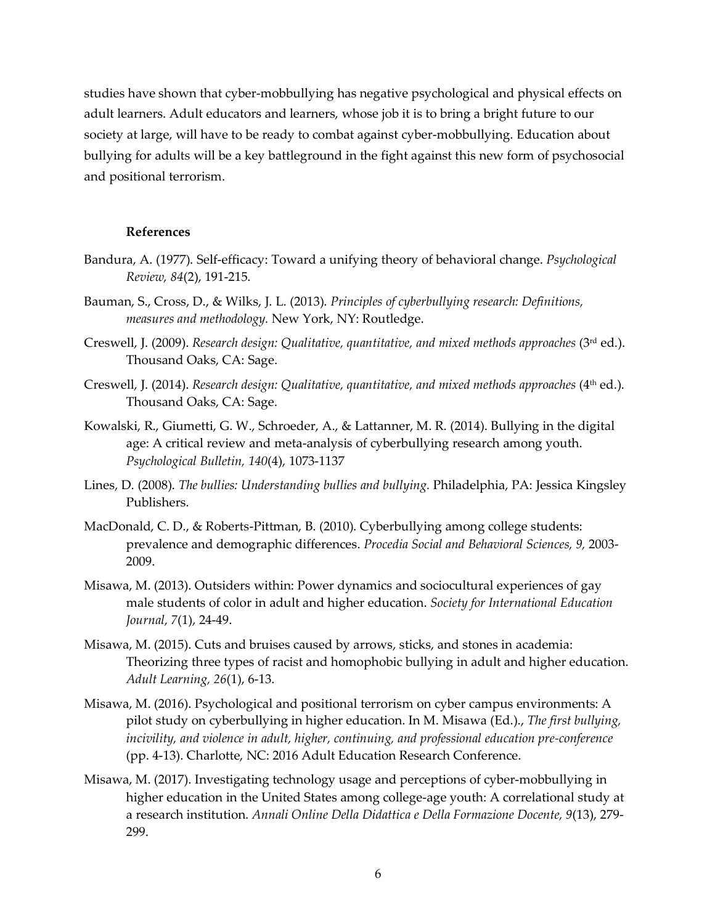studies have shown that cyber-mobbullying has negative psychological and physical effects on adult learners. Adult educators and learners, whose job it is to bring a bright future to our society at large, will have to be ready to combat against cyber-mobbullying. Education about bullying for adults will be a key battleground in the fight against this new form of psychosocial and positional terrorism.

## **References**

- Bandura, A. (1977). Self-efficacy: Toward a unifying theory of behavioral change. *Psychological Review, 84*(2), 191-215.
- Bauman, S., Cross, D., & Wilks, J. L. (2013). *Principles of cyberbullying research: Definitions, measures and methodology.* New York, NY: Routledge.
- Creswell, J. (2009). *Research design: Qualitative, quantitative, and mixed methods approaches* (3rd ed.). Thousand Oaks, CA: Sage.
- Creswell, J. (2014). *Research design: Qualitative, quantitative, and mixed methods approaches* (4<sup>th</sup> ed.). Thousand Oaks, CA: Sage.
- Kowalski, R., Giumetti, G. W., Schroeder, A., & Lattanner, M. R. (2014). Bullying in the digital age: A critical review and meta-analysis of cyberbullying research among youth. *Psychological Bulletin, 140*(4), 1073-1137
- Lines, D. (2008). *The bullies: Understanding bullies and bullying.* Philadelphia, PA: Jessica Kingsley Publishers.
- MacDonald, C. D., & Roberts-Pittman, B. (2010). Cyberbullying among college students: prevalence and demographic differences. *Procedia Social and Behavioral Sciences, 9,* 2003- 2009.
- Misawa, M. (2013). Outsiders within: Power dynamics and sociocultural experiences of gay male students of color in adult and higher education. *Society for International Education Journal, 7*(1), 24-49.
- Misawa, M. (2015). Cuts and bruises caused by arrows, sticks, and stones in academia: Theorizing three types of racist and homophobic bullying in adult and higher education. *Adult Learning, 26*(1), 6-13.
- Misawa, M. (2016). Psychological and positional terrorism on cyber campus environments: A pilot study on cyberbullying in higher education. In M. Misawa (Ed.)., *The first bullying, incivility, and violence in adult, higher, continuing, and professional education pre-conference*  (pp. 4-13). Charlotte, NC: 2016 Adult Education Research Conference.
- Misawa, M. (2017). Investigating technology usage and perceptions of cyber-mobbullying in higher education in the United States among college-age youth: A correlational study at a research institution. *Annali Online Della Didattica e Della Formazione Docente, 9*(13), 279- 299.